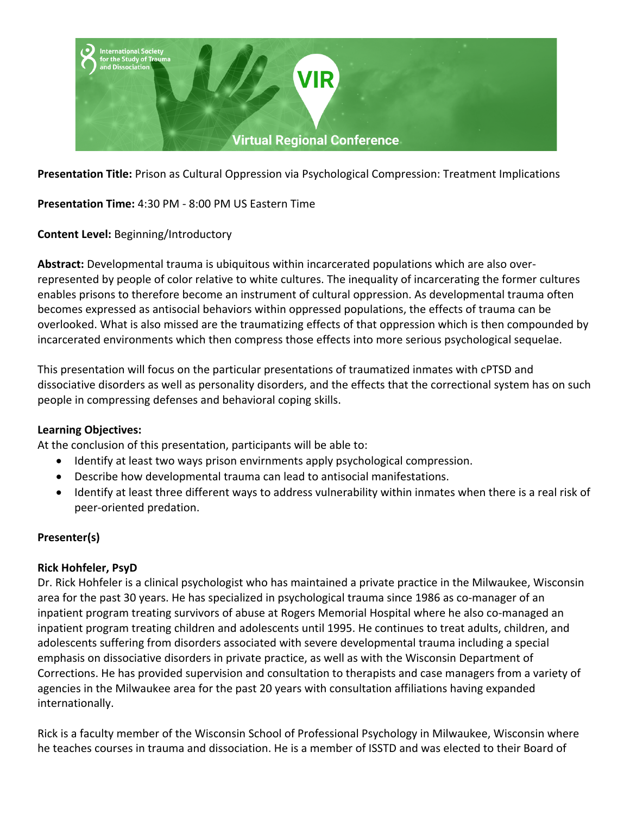

**Presentation Title:** Prison as Cultural Oppression via Psychological Compression: Treatment Implications

**Presentation Time:** 4:30 PM - 8:00 PM US Eastern Time

**Content Level:** Beginning/Introductory

**Abstract:** Developmental trauma is ubiquitous within incarcerated populations which are also overrepresented by people of color relative to white cultures. The inequality of incarcerating the former cultures enables prisons to therefore become an instrument of cultural oppression. As developmental trauma often becomes expressed as antisocial behaviors within oppressed populations, the effects of trauma can be overlooked. What is also missed are the traumatizing effects of that oppression which is then compounded by incarcerated environments which then compress those effects into more serious psychological sequelae.

This presentation will focus on the particular presentations of traumatized inmates with cPTSD and dissociative disorders as well as personality disorders, and the effects that the correctional system has on such people in compressing defenses and behavioral coping skills.

#### **Learning Objectives:**

At the conclusion of this presentation, participants will be able to:

- Identify at least two ways prison envirnments apply psychological compression.
- Describe how developmental trauma can lead to antisocial manifestations.
- Identify at least three different ways to address vulnerability within inmates when there is a real risk of peer-oriented predation.

## **Presenter(s)**

### **Rick Hohfeler, PsyD**

Dr. Rick Hohfeler is a clinical psychologist who has maintained a private practice in the Milwaukee, Wisconsin area for the past 30 years. He has specialized in psychological trauma since 1986 as co-manager of an inpatient program treating survivors of abuse at Rogers Memorial Hospital where he also co-managed an inpatient program treating children and adolescents until 1995. He continues to treat adults, children, and adolescents suffering from disorders associated with severe developmental trauma including a special emphasis on dissociative disorders in private practice, as well as with the Wisconsin Department of Corrections. He has provided supervision and consultation to therapists and case managers from a variety of agencies in the Milwaukee area for the past 20 years with consultation affiliations having expanded internationally.

Rick is a faculty member of the Wisconsin School of Professional Psychology in Milwaukee, Wisconsin where he teaches courses in trauma and dissociation. He is a member of ISSTD and was elected to their Board of